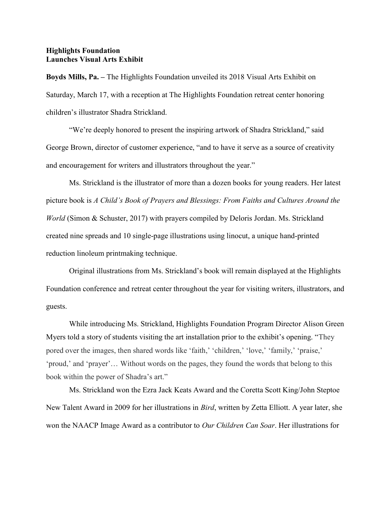## Highlights Foundation Launches Visual Arts Exhibit

Boyds Mills, Pa. – The Highlights Foundation unveiled its 2018 Visual Arts Exhibit on Saturday, March 17, with a reception at The Highlights Foundation retreat center honoring children's illustrator Shadra Strickland.

 "We're deeply honored to present the inspiring artwork of Shadra Strickland," said George Brown, director of customer experience, "and to have it serve as a source of creativity and encouragement for writers and illustrators throughout the year."

 Ms. Strickland is the illustrator of more than a dozen books for young readers. Her latest picture book is A Child's Book of Prayers and Blessings: From Faiths and Cultures Around the World (Simon & Schuster, 2017) with prayers compiled by Deloris Jordan. Ms. Strickland created nine spreads and 10 single-page illustrations using linocut, a unique hand-printed reduction linoleum printmaking technique.

 Original illustrations from Ms. Strickland's book will remain displayed at the Highlights Foundation conference and retreat center throughout the year for visiting writers, illustrators, and guests.

 While introducing Ms. Strickland, Highlights Foundation Program Director Alison Green Myers told a story of students visiting the art installation prior to the exhibit's opening. "They pored over the images, then shared words like 'faith,' 'children,' 'love,' 'family,' 'praise,' 'proud,' and 'prayer'… Without words on the pages, they found the words that belong to this book within the power of Shadra's art."

 Ms. Strickland won the Ezra Jack Keats Award and the Coretta Scott King/John Steptoe New Talent Award in 2009 for her illustrations in Bird, written by Zetta Elliott. A year later, she won the NAACP Image Award as a contributor to *Our Children Can Soar*. Her illustrations for